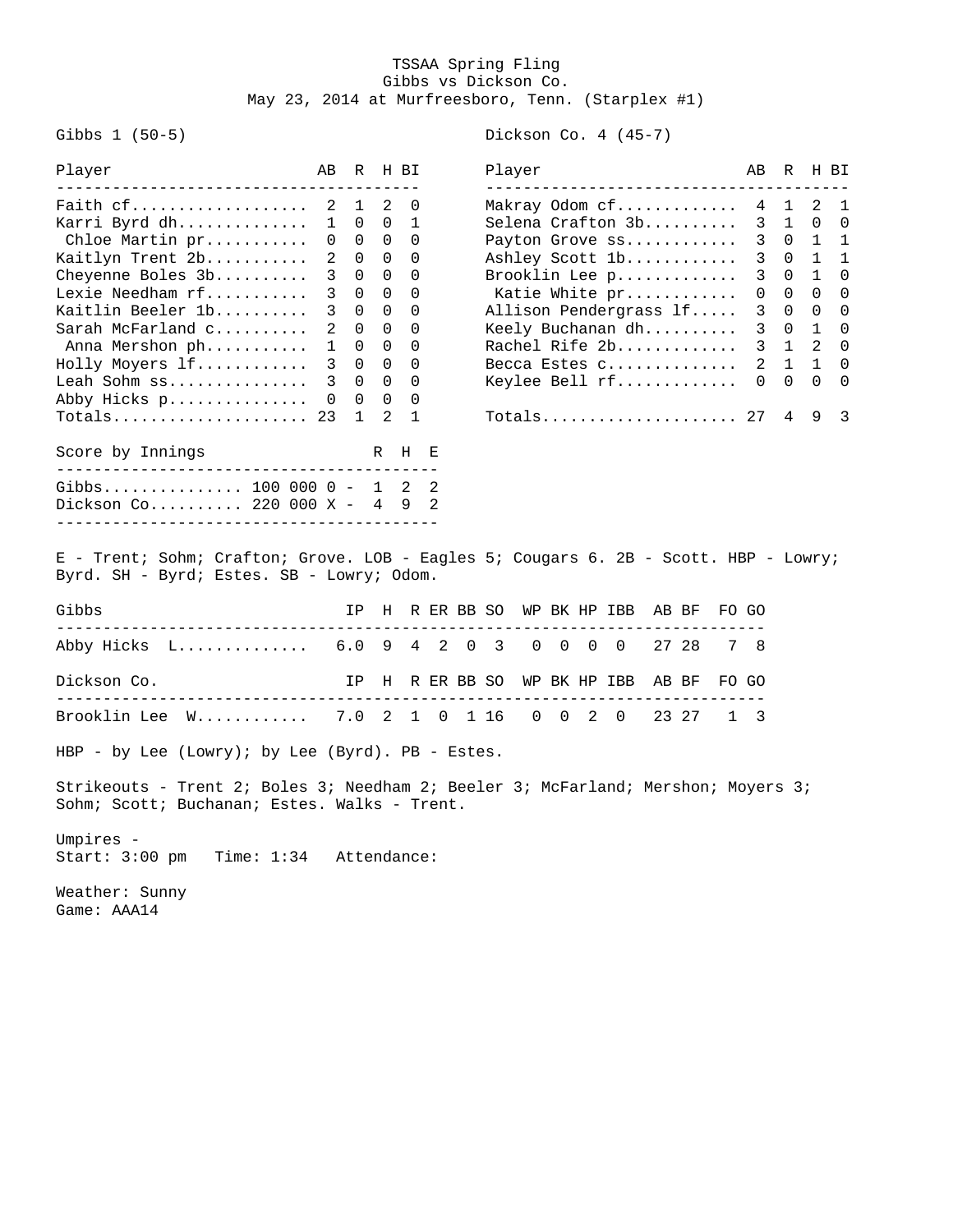## TSSAA Spring Fling Gibbs vs Dickson Co. May 23, 2014 at Murfreesboro, Tenn. (Starplex #1)

Gibbs 1 (50-5) Dickson Co. 4 (45-7)

| Player                                                                            | AВ             | R            |                   | H BI           |   |                 | Player |                |                |                              |              |       | AB           | R                   | H BI                       |              |
|-----------------------------------------------------------------------------------|----------------|--------------|-------------------|----------------|---|-----------------|--------|----------------|----------------|------------------------------|--------------|-------|--------------|---------------------|----------------------------|--------------|
| _______________________<br>Faith cf                                               |                | 2 1          | 2                 | 0              |   |                 |        |                |                | Makray Odom cf 4 1           |              |       |              |                     | $\overline{\phantom{0}}^2$ | 1            |
| Karri Byrd dh                                                                     | $\mathbf{1}$   |              | $0\quad 0$        | 1              |   |                 |        |                |                | Selena Crafton 3b            |              |       |              | 3 1 0               |                            | 0            |
| Chloe Martin pr                                                                   |                |              | $0\quad 0\quad 0$ | $\mathbf 0$    |   |                 |        |                |                | Payton Grove ss              |              |       |              | $3 \quad 0 \quad 1$ |                            | $\mathbf{1}$ |
| Kaitlyn Trent 2b                                                                  |                |              | 2 0 0 0           |                |   |                 |        |                |                | Ashley Scott 1b              |              |       |              | 3 0 1               |                            | 1            |
| Cheyenne Boles 3b                                                                 | 3              |              | $0\quad 0$        | $\Omega$       |   |                 |        |                |                | Brooklin Lee p               |              |       |              | 3 0 1               |                            | $\mathbf 0$  |
| Lexie Needham rf                                                                  | 3              |              | $0\quad 0$        | $\Omega$       |   |                 |        |                |                | Katie White pr               |              |       | 0            | $0\quad 0$          |                            | 0            |
| Kaitlin Beeler 1b                                                                 | 3              |              | $0\quad 0$        | $\Omega$       |   |                 |        |                |                | Allison Pendergrass lf       |              |       | $\mathsf{3}$ |                     | $0\quad 0$                 | 0            |
| Sarah McFarland c                                                                 | $\overline{2}$ |              | $0\quad 0$        | $\Omega$       |   |                 |        |                |                | Keely Buchanan dh            |              |       | 3            | $0\quad 1$          |                            | 0            |
| Anna Mershon ph                                                                   | 1              |              | $0\quad 0$        | $\Omega$       |   |                 |        |                |                | Rachel Rife 2b               |              |       |              | $3 \quad 1 \quad 2$ |                            | $\Omega$     |
| Holly Moyers lf 3 0 0                                                             |                |              |                   | $\overline{0}$ |   |                 |        |                |                | Becca Estes c                |              |       |              | $2 \quad 1 \quad 1$ |                            | $\mathbf 0$  |
| Leah Sohm ss                                                                      | 3 <sup>7</sup> |              | $0\quad 0$        | $\Omega$       |   |                 |        |                |                | Keylee Bell rf               |              |       |              | $0\quad 0\quad 0$   |                            | $\Omega$     |
| Abby Hicks p                                                                      |                |              | $0\quad 0\quad 0$ | 0              |   |                 |        |                |                |                              |              |       |              |                     |                            |              |
| $Totals. 23$                                                                      |                | $\mathbf{1}$ | 2                 | $\mathbf{1}$   |   |                 |        |                |                | Totals                       |              |       | 27           | 4                   | 9                          | 3            |
|                                                                                   |                |              |                   |                |   |                 |        |                |                |                              |              |       |              |                     |                            |              |
| Score by Innings                                                                  |                |              | R H               |                | Е |                 |        |                |                |                              |              |       |              |                     |                            |              |
| Gibbs 100 000 0 - 1 2                                                             |                |              |                   |                | 2 |                 |        |                |                |                              |              |       |              |                     |                            |              |
| Dickson Co 220 000 X - 4 9<br>___________________________                         |                |              |                   |                | 2 |                 |        |                |                |                              |              |       |              |                     |                            |              |
| Byrd. SH - Byrd; Estes. SB - Lowry; Odom.<br>Gibbs                                |                |              |                   |                |   |                 |        |                |                | IP H R ER BB SO WP BK HP IBB | AB BF        | FO GO |              |                     |                            |              |
|                                                                                   |                |              |                   |                |   |                 |        |                |                |                              | ------------ |       |              |                     |                            |              |
| Abby Hicks L 6.0 9 4 2 0 3                                                        |                |              |                   |                |   |                 | 0      | $\overline{0}$ | $\overline{0}$ | $\overline{0}$               | 27 28        |       | 7 8          |                     |                            |              |
| Dickson Co.<br>---------------------------                                        |                |              |                   |                |   | IP H R ER BB SO |        |                |                | WP BK HP IBB                 | AB BF        | FO GO |              |                     |                            |              |
| Brooklin Lee W 7.0 2 1 0 1 16 0 0 2 0                                             |                |              |                   |                |   |                 |        |                |                |                              | 23 27        |       | 1 3          |                     |                            |              |
| HBP - by Lee (Lowry); by Lee (Byrd). PB - Estes.                                  |                |              |                   |                |   |                 |        |                |                |                              |              |       |              |                     |                            |              |
|                                                                                   |                |              |                   |                |   |                 |        |                |                |                              |              |       |              |                     |                            |              |
| Strikeouts - Trent 2; Boles 3; Needham 2; Beeler 3; McFarland; Mershon; Moyers 3; |                |              |                   |                |   |                 |        |                |                |                              |              |       |              |                     |                            |              |
| Sohm; Scott; Buchanan; Estes. Walks - Trent.                                      |                |              |                   |                |   |                 |        |                |                |                              |              |       |              |                     |                            |              |
| Umpires -                                                                         |                |              |                   |                |   |                 |        |                |                |                              |              |       |              |                     |                            |              |
| Time: 1:34 Attendance:<br>Start: 3:00 pm                                          |                |              |                   |                |   |                 |        |                |                |                              |              |       |              |                     |                            |              |
| Weather: Sunny<br>Game: AAA14                                                     |                |              |                   |                |   |                 |        |                |                |                              |              |       |              |                     |                            |              |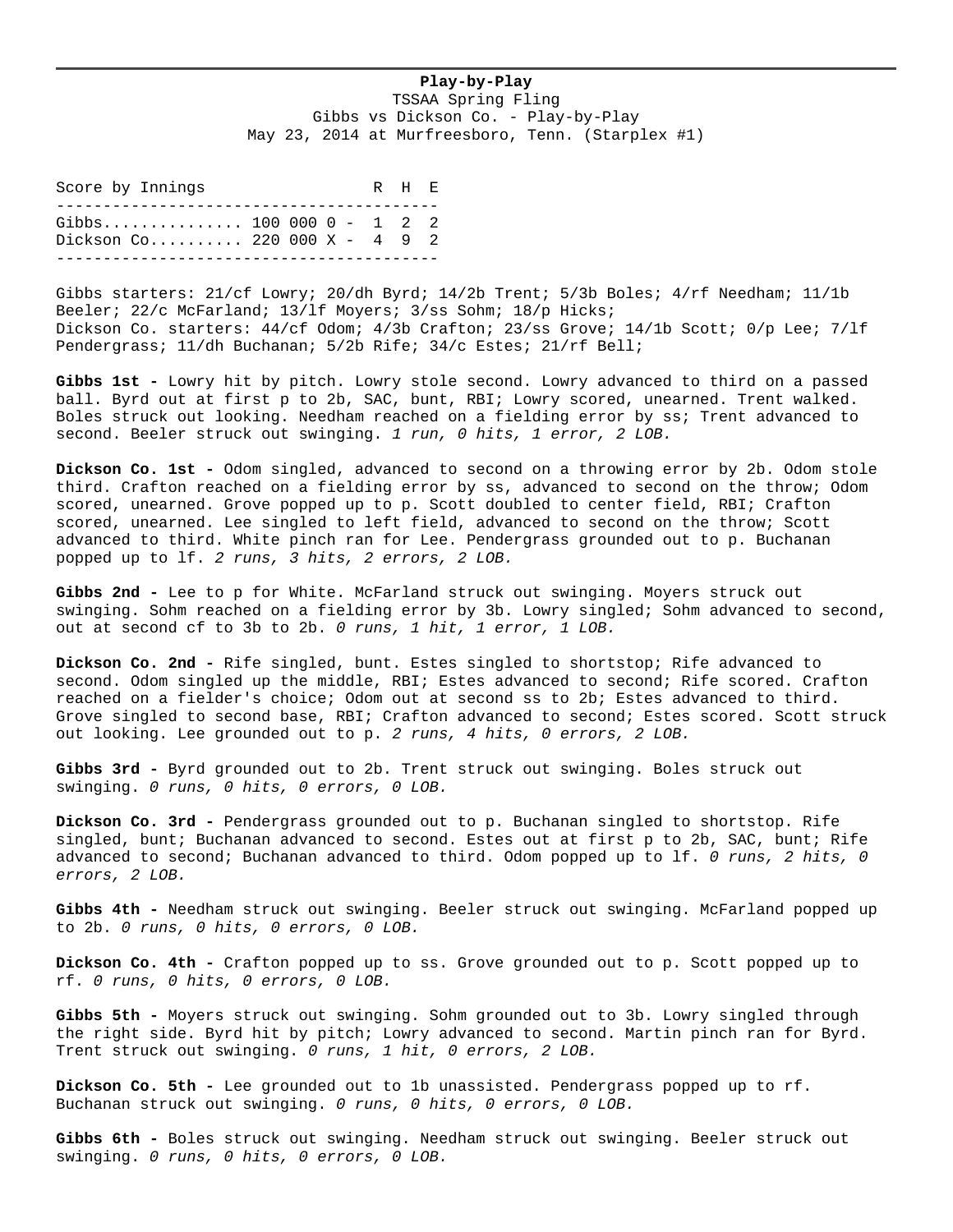## **Play-by-Play**

TSSAA Spring Fling Gibbs vs Dickson Co. - Play-by-Play May 23, 2014 at Murfreesboro, Tenn. (Starplex #1)

Score by Innings The R H E ----------------------------------------- Gibbs................. 100 000 0 - 1 2 2 Dickson Co.......... 220 000 X - 4 9 2 -----------------------------------------

Gibbs starters: 21/cf Lowry; 20/dh Byrd; 14/2b Trent; 5/3b Boles; 4/rf Needham; 11/1b Beeler; 22/c McFarland; 13/lf Moyers; 3/ss Sohm; 18/p Hicks; Dickson Co. starters: 44/cf Odom; 4/3b Crafton; 23/ss Grove; 14/1b Scott; 0/p Lee; 7/lf Pendergrass; 11/dh Buchanan; 5/2b Rife; 34/c Estes; 21/rf Bell;

**Gibbs 1st -** Lowry hit by pitch. Lowry stole second. Lowry advanced to third on a passed ball. Byrd out at first p to 2b, SAC, bunt, RBI; Lowry scored, unearned. Trent walked. Boles struck out looking. Needham reached on a fielding error by ss; Trent advanced to second. Beeler struck out swinging. *1 run, 0 hits, 1 error, 2 LOB.*

**Dickson Co. 1st -** Odom singled, advanced to second on a throwing error by 2b. Odom stole third. Crafton reached on a fielding error by ss, advanced to second on the throw; Odom scored, unearned. Grove popped up to p. Scott doubled to center field, RBI; Crafton scored, unearned. Lee singled to left field, advanced to second on the throw; Scott advanced to third. White pinch ran for Lee. Pendergrass grounded out to p. Buchanan popped up to lf. *2 runs, 3 hits, 2 errors, 2 LOB.*

Gibbs 2nd - Lee to p for White. McFarland struck out swinging. Moyers struck out swinging. Sohm reached on a fielding error by 3b. Lowry singled; Sohm advanced to second, out at second cf to 3b to 2b. *0 runs, 1 hit, 1 error, 1 LOB.*

**Dickson Co. 2nd -** Rife singled, bunt. Estes singled to shortstop; Rife advanced to second. Odom singled up the middle, RBI; Estes advanced to second; Rife scored. Crafton reached on a fielder's choice; Odom out at second ss to 2b; Estes advanced to third. Grove singled to second base, RBI; Crafton advanced to second; Estes scored. Scott struck out looking. Lee grounded out to p. *2 runs, 4 hits, 0 errors, 2 LOB.*

**Gibbs 3rd -** Byrd grounded out to 2b. Trent struck out swinging. Boles struck out swinging. *0 runs, 0 hits, 0 errors, 0 LOB.*

**Dickson Co. 3rd -** Pendergrass grounded out to p. Buchanan singled to shortstop. Rife singled, bunt; Buchanan advanced to second. Estes out at first p to 2b, SAC, bunt; Rife advanced to second; Buchanan advanced to third. Odom popped up to lf. *0 runs, 2 hits, 0 errors, 2 LOB.*

**Gibbs 4th -** Needham struck out swinging. Beeler struck out swinging. McFarland popped up to 2b. *0 runs, 0 hits, 0 errors, 0 LOB.*

**Dickson Co. 4th -** Crafton popped up to ss. Grove grounded out to p. Scott popped up to rf. *0 runs, 0 hits, 0 errors, 0 LOB.*

**Gibbs 5th -** Moyers struck out swinging. Sohm grounded out to 3b. Lowry singled through the right side. Byrd hit by pitch; Lowry advanced to second. Martin pinch ran for Byrd. Trent struck out swinging. *0 runs, 1 hit, 0 errors, 2 LOB.*

**Dickson Co. 5th -** Lee grounded out to 1b unassisted. Pendergrass popped up to rf. Buchanan struck out swinging. *0 runs, 0 hits, 0 errors, 0 LOB.*

**Gibbs 6th -** Boles struck out swinging. Needham struck out swinging. Beeler struck out swinging. *0 runs, 0 hits, 0 errors, 0 LOB.*